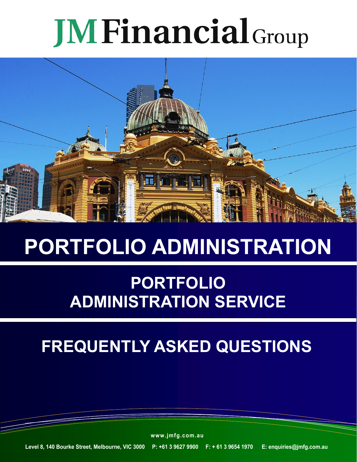# **JM Financial** Group



# **PORTFOLIO ADMINISTRATION**

### **PORTFOLIO ADMINISTRATION SERVICE**

## **FREQUENTLY ASKED QUESTIONS**

**www.jmfg.com.au**

**Level 8, 140 Bourke Street, Melbourne, VIC 3000 P: +61 3 9627 9900 F: + 61 3 9654 1970 E: enquiries@jmfg.com.au**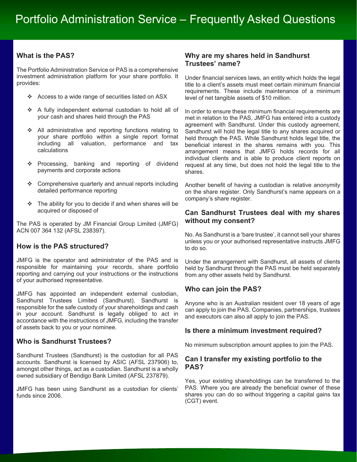#### **What is the PAS?**

The Portfolio Administration Service or PAS is a comprehensive investment administration platform for your share portfolio. It provides:

- Access to a wide range of securities listed on ASX
- A fully independent external custodian to hold all of your cash and shares held through the PAS
- ❖ All administrative and reporting functions relating to your share portfolio within a single report format including all valuation, performance and tax calculations
- \* Processing, banking and reporting of dividend payments and corporate actions
- ❖ Comprehensive quarterly and annual reports including detailed performance reporting
- $\div$  The ability for you to decide if and when shares will be acquired or disposed of

The PAS is operated by JM Financial Group Limited (JMFG) ACN 007 364 132 (AFSL 238397).

#### **How is the PAS structured?**

JMFG is the operator and administrator of the PAS and is responsible for maintaining your records, share portfolio reporting and carrying out your instructions or the instructions of your authorised representative.

JMFG has appointed an independent external custodian, Sandhurst Trustees Limited (Sandhurst). Sandhurst is responsible for the safe custody of your shareholdings and cash in your account. Sandhurst is legally obliged to act in accordance with the instructions of JMFG, including the transfer of assets back to you or your nominee.

#### **Who is Sandhurst Trustees?**

Sandhurst Trustees (Sandhurst) is the custodian for all PAS accounts. Sandhurst is licensed by ASIC (AFSL 237906) to, amongst other things, act as a custodian. Sandhurst is a wholly owned subsidiary of Bendigo Bank Limited (AFSL 237879).

JMFG has been using Sandhurst as a custodian for clients' funds since 2006.

#### **Why are my shares held in Sandhurst Trustees' name?**

Under financial services laws, an entity which holds the legal title to a client's assets must meet certain minimum financial requirements. These include maintenance of a minimum level of net tangible assets of \$10 million.

In order to ensure these minimum financial requirements are met in relation to the PAS, JMFG has entered into a custody agreement with Sandhurst. Under this custody agreement, Sandhurst will hold the legal title to any shares acquired or held through the PAS. While Sandhurst holds legal title, the beneficial interest in the shares remains with you. This arrangement means that JMFG holds records for all individual clients and is able to produce client reports on request at any time, but does not hold the legal title to the shares.

Another benefit of having a custodian is relative anonymity on the share register. Only Sandhurst's name appears on a company's share register.

#### **Can Sandhurst Trustees deal with my shares without my consent?**

No. As Sandhurst is a 'bare trustee', it cannot sell your shares unless you or your authorised representative instructs JMFG to do so.

Under the arrangement with Sandhurst, all assets of clients held by Sandhurst through the PAS must be held separately from any other assets held by Sandhurst.

#### **Who can join the PAS?**

Anyone who is an Australian resident over 18 years of age can apply to join the PAS. Companies, partnerships, trustees and executors can also all apply to join the PAS.

#### **Is there a minimum investment required?**

No minimum subscription amount applies to join the PAS.

#### **Can I transfer my existing portfolio to the PAS?**

Yes, your existing shareholdings can be transferred to the PAS. Where you are already the beneficial owner of these shares you can do so without triggering a capital gains tax (CGT) event.